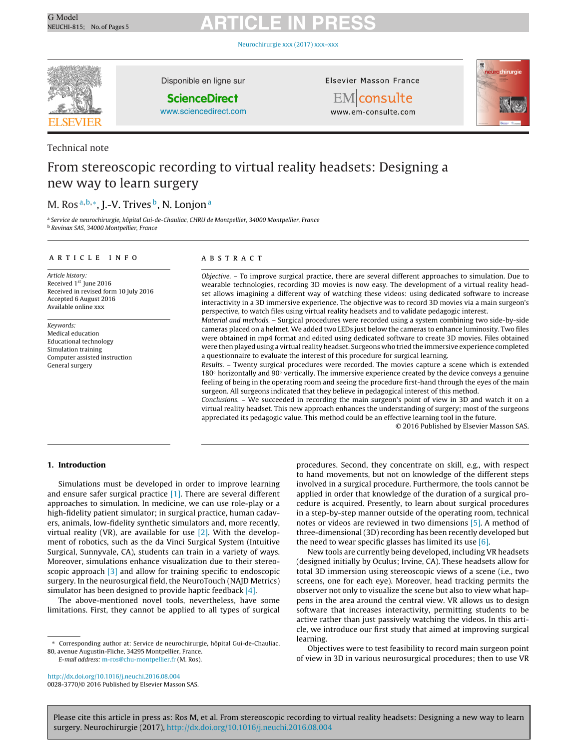[Neurochirurgie](dx.doi.org/10.1016/j.neuchi.2016.08.004) xxx (2017) xxx–xxx



Technical note

Disponible en ligne sur

#### **ScienceDirect**

[www.sciencedirect.com](http://www.sciencedirect.com/science/journal/00283770)

#### Elsevier Masson France



EMconsulte www.em-consulte.com

### From stereoscopic recording to virtual reality headsets: Designing a new way to learn surgery

### M. Ros<sup>a, b,∗</sup>, J.-V. Trives<sup>b</sup>, N. Lonjon<sup>a</sup>

<sup>a</sup> Service de neurochirurgie, hôpital Gui-de-Chauliac, CHRU de Montpellier, 34000 Montpellier, France <sup>b</sup> Revinax SAS, 34000 Montpellier, France

#### a r t i c l e i n f o

Article history: Received 1st June 2016 Received in revised form 10 July 2016 Accepted 6 August 2016 Available online xxx

Keywords: Medical education Educational technology Simulation training Computer assisted instruction General surgery

#### A B S T R A C T

Objective. – To improve surgical practice, there are several different approaches to simulation. Due to wearable technologies, recording 3D movies is now easy. The development of a virtual reality headset allows imagining a different way of watching these videos: using dedicated software to increase interactivity in a 3D immersive experience. The objective was to record 3D movies via a main surgeon's perspective, to watch files using virtual reality headsets and to validate pedagogic interest.

Material and methods. – Surgical procedures were recorded using a system combining two side-by-side cameras placed on a helmet. We added two LEDs just below the cameras to enhance luminosity. Two files were obtained in mp4 format and edited using dedicated software to create 3D movies. Files obtained were then played using a virtual reality headset. Surgeons who tried the immersive experience completed a questionnaire to evaluate the interest of this procedure for surgical learning.

Results. – Twenty surgical procedures were recorded. The movies capture a scene which is extended 180◦ horizontally and 90◦ vertically. The immersive experience created by the device conveys a genuine feeling of being in the operating room and seeing the procedure first-hand through the eyes of the main surgeon. All surgeons indicated that they believe in pedagogical interest of this method.

Conclusions. – We succeeded in recording the main surgeon's point of view in 3D and watch it on a virtual reality headset. This new approach enhances the understanding of surgery; most of the surgeons appreciated its pedagogic value. This method could be an effective learning tool in the future.

© 2016 Published by Elsevier Masson SAS.

#### **1. Introduction**

Simulations must be developed in order to improve learning and ensure safer surgical practice [\[1\].](#page-4-0) There are several different approaches to simulation. In medicine, we can use role-play or a high-fidelity patient simulator; in surgical practice, human cadavers, animals, low-fidelity synthetic simulators and, more recently, virtual reality (VR), are available for use  $[2]$ . With the development of robotics, such as the da Vinci Surgical System (Intuitive Surgical, Sunnyvale, CA), students can train in a variety of ways. Moreover, simulations enhance visualization due to their stereo-scopic approach [\[3\]](#page-4-0) and allow for training specific to endoscopic surgery. In the neurosurgical field, the NeuroTouch (NAJD Metrics) simulator has been designed to provide haptic feedback [\[4\].](#page-4-0)

The above-mentioned novel tools, nevertheless, have some limitations. First, they cannot be applied to all types of surgical

E-mail address: [m-ros@chu-montpellier.fr](mailto:m-ros@chu-montpellier.fr) (M. Ros).

procedures. Second, they concentrate on skill, e.g., with respect to hand movements, but not on knowledge of the different steps involved in a surgical procedure. Furthermore, the tools cannot be applied in order that knowledge of the duration of a surgical procedure is acquired. Presently, to learn about surgical procedures in a step-by-step manner outside of the operating room, technical notes or videos are reviewed in two dimensions [\[5\].](#page-4-0) A method of three-dimensional (3D) recording has been recently developed but the need to wear specific glasses has limited its use [\[6\].](#page-4-0)

New tools are currently being developed, including VR headsets (designed initially by Oculus; Irvine, CA). These headsets allow for total 3D immersion using stereoscopic views of a scene (i.e., two screens, one for each eye). Moreover, head tracking permits the observer not only to visualize the scene but also to view what happens in the area around the central view. VR allows us to design software that increases interactivity, permitting students to be active rather than just passively watching the videos. In this article, we introduce our first study that aimed at improving surgical learning.

Objectives were to test feasibility to record main surgeon point of view in 3D in various neurosurgical procedures; then to use VR

<sup>∗</sup> Corresponding author at: Service de neurochirurgie, hôpital Gui-de-Chauliac, 80, avenue Augustin-Fliche, 34295 Montpellier, France.

[http://dx.doi.org/10.1016/j.neuchi.2016.08.004](dx.doi.org/10.1016/j.neuchi.2016.08.004) 0028-3770/© 2016 Published by Elsevier Masson SAS.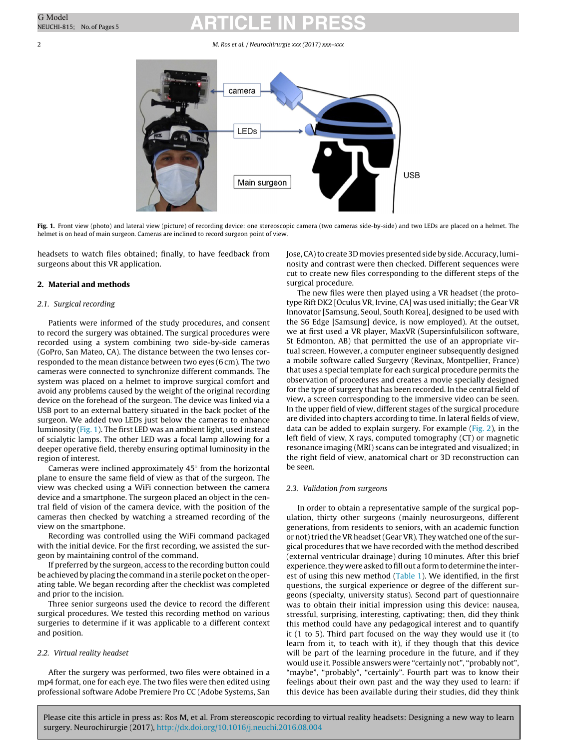#### 2 M. Ros et al. / Neurochirurgie xxx (2017) xxx–xxx



**Fig. 1.** Front view (photo) and lateral view (picture) of recording device: one stereoscopic camera (two cameras side-by-side) and two LEDs are placed on a helmet. The helmet is on head of main surgeon. Cameras are inclined to record surgeon point of view.

headsets to watch files obtained; finally, to have feedback from surgeons about this VR application.

#### **2. Material and methods**

#### 2.1. Surgical recording

Patients were informed of the study procedures, and consent to record the surgery was obtained. The surgical procedures were recorded using a system combining two side-by-side cameras (GoPro, San Mateo, CA). The distance between the two lenses corresponded to the mean distance between two eyes (6 cm). The two cameras were connected to synchronize different commands. The system was placed on a helmet to improve surgical comfort and avoid any problems caused by the weight of the original recording device on the forehead of the surgeon. The device was linked via a USB port to an external battery situated in the back pocket of the surgeon. We added two LEDs just below the cameras to enhance luminosity (Fig. 1). The first LED was an ambient light, used instead of scialytic lamps. The other LED was a focal lamp allowing for a deeper operative field, thereby ensuring optimal luminosity in the region of interest.

Cameras were inclined approximately 45◦ from the horizontal plane to ensure the same field of view as that of the surgeon. The view was checked using a WiFi connection between the camera device and a smartphone. The surgeon placed an object in the central field of vision of the camera device, with the position of the cameras then checked by watching a streamed recording of the view on the smartphone.

Recording was controlled using the WiFi command packaged with the initial device. For the first recording, we assisted the surgeon by maintaining control of the command.

If preferred by the surgeon, access to the recording button could be achieved by placing the command in a sterile pocket on the operating table. We began recording after the checklist was completed and prior to the incision.

Three senior surgeons used the device to record the different surgical procedures. We tested this recording method on various surgeries to determine if it was applicable to a different context and position.

#### 2.2. Virtual reality headset

After the surgery was performed, two files were obtained in a mp4 format, one for each eye. The two files were then edited using professional software Adobe Premiere Pro CC (Adobe Systems, San Jose, CA) to create 3D movies presented side by side. Accuracy, luminosity and contrast were then checked. Different sequences were cut to create new files corresponding to the different steps of the surgical procedure.

The new files were then played using a VR headset (the prototype Rift DK2 [Oculus VR, Irvine, CA] was used initially; the Gear VR Innovator [Samsung, Seoul, South Korea], designed to be used with the S6 Edge [Samsung] device, is now employed). At the outset, we at first used a VR player, MaxVR (Supersinfulsilicon software, St Edmonton, AB) that permitted the use of an appropriate virtual screen. However, a computer engineer subsequently designed a mobile software called Surgevry (Revinax, Montpellier, France) that uses a special template for each surgical procedure permits the observation of procedures and creates a movie specially designed for the type of surgery that has been recorded. In the central field of view, a screen corresponding to the immersive video can be seen. In the upper field of view, different stages of the surgical procedure are divided into chapters according to time. In lateral fields of view, data can be added to explain surgery. For example [\(Fig.](#page-2-0) 2), in the left field of view, X rays, computed tomography (CT) or magnetic resonance imaging (MRI) scans can be integrated and visualized; in the right field of view, anatomical chart or 3D reconstruction can be seen.

#### 2.3. Validation from surgeons

In order to obtain a representative sample of the surgical population, thirty other surgeons (mainly neurosurgeons, different generations, from residents to seniors, with an academic function or not) tried the VR headset (Gear VR). They watched one of the surgical procedures that we have recorded with the method described (external ventricular drainage) during 10 minutes. After this brief experience, they were asked to fill out a form to determine the inter-est of using this new method ([Table](#page-2-0) 1). We identified, in the first questions, the surgical experience or degree of the different surgeons (specialty, university status). Second part of questionnaire was to obtain their initial impression using this device: nausea, stressful, surprising, interesting, captivating; then, did they think this method could have any pedagogical interest and to quantify it (1 to 5). Third part focused on the way they would use it (to learn from it, to teach with it), if they though that this device will be part of the learning procedure in the future, and if they would use it. Possible answers were "certainly not", "probably not", "maybe", "probably", "certainly". Fourth part was to know their feelings about their own past and the way they used to learn: if this device has been available during their studies, did they think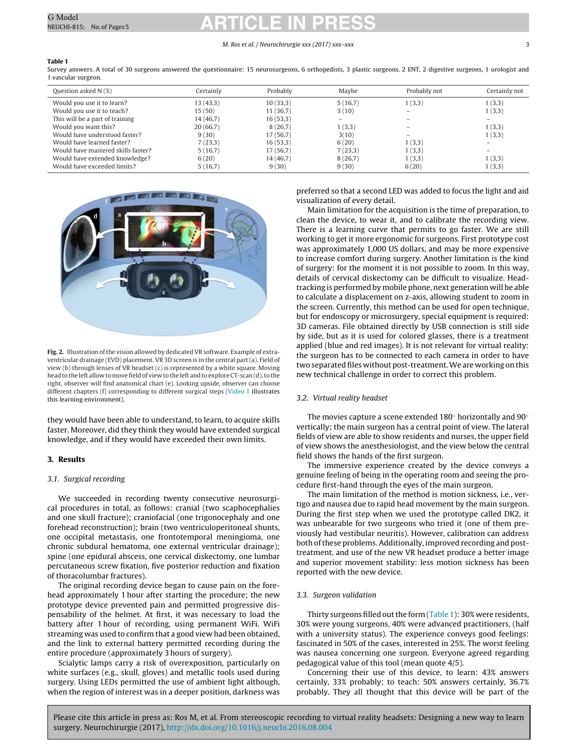#### M. Ros et al. / Neurochirurgie xxx (2017) xxx–xxx 3

#### <span id="page-2-0"></span>**Table 1**

Survey answers. A total of 30 surgeons answered the questionnaire: 15 neurosurgeons, 6 orthopedists, 3 plastic surgeons, 2 ENT, 2 digestive surgeons, 1 urologist and 1 vascular surgeon.

| Question asked N (%)               | Certainly | Probably | Maybe   | Probably not             | Certainly not            |
|------------------------------------|-----------|----------|---------|--------------------------|--------------------------|
| Would you use it to learn?         | 13(43,3)  | 10(33,3) | 5(16,7) | 1(3,3)                   | 1(3,3)                   |
| Would you use it to teach?         | 15(50)    | 11(36,7) | 3(10)   | $\overline{\phantom{0}}$ | 1(3,3)                   |
| This will be a part of training    | 14(46,7)  | 16(53,3) | $-$     |                          | $\overline{\phantom{0}}$ |
| Would you want this?               | 20(66,7)  | 8(26,7)  | 1(3,3)  |                          | 1(3,3)                   |
| Would have understood faster?      | 9(30)     | 17(56,7) | 3(10)   |                          | 1(3,3)                   |
| Would have learned faster?         | 7(23,3)   | 16(53,3) | 6(20)   | 1(3,3)                   |                          |
| Would have mastered skills faster? | 5(16,7)   | 17(56,7) | 7(23,3) | 1(3,3)                   | $\overline{\phantom{0}}$ |
| Would have extended knowledge?     | 6(20)     | 14(46,7) | 8(26,7) | 1(3,3)                   | 1(3,3)                   |
| Would have exceeded limits?        | 5(16,7)   | 9(30)    | 9(30)   | 6(20)                    | 1(3,3)                   |



Fig. 2. Illustration of the vision allowed by dedicated VR software. Example of extraventricular drainage (EVD) placement. VR 3D screen is in the central part (a). Field of view (b) through lenses of VR headset (c) is represented by a white square. Moving head to the left allow to move field of view to the left and to explore CT-scan(d), to the right, observer will find anatomical chart (e). Looking upside, observer can choose different chapters (f) corresponding to different surgical steps [\(Video](#page-4-0) [1](#page-4-0) illustrates this learning environment).

they would have been able to understand, to learn, to acquire skills faster. Moreover, did they think they would have extended surgical knowledge, and if they would have exceeded their own limits.

#### **3. Results**

#### 3.1. Surgical recording

We succeeded in recording twenty consecutive neurosurgical procedures in total, as follows: cranial (two scaphocephalies and one skull fracture); craniofacial (one trigonocephaly and one forehead reconstruction); brain (two ventriculoperitoneal shunts, one occipital metastasis, one frontotemporal meningioma, one chronic subdural hematoma, one external ventricular drainage); spine (one epidural abscess, one cervical diskectomy, one lumbar percutaneous screw fixation, five posterior reduction and fixation of thoracolumbar fractures).

The original recording device began to cause pain on the forehead approximately 1 hour after starting the procedure; the new prototype device prevented pain and permitted progressive dispensability of the helmet. At first, it was necessary to load the battery after 1 hour of recording, using permanent WiFi. WiFi streaming was used to confirm that a good view had been obtained, and the link to external battery permitted recording during the entire procedure (approximately 3 hours of surgery).

Scialytic lamps carry a risk of overexposition, particularly on white surfaces (e.g., skull, gloves) and metallic tools used during surgery. Using LEDs permitted the use of ambient light although, when the region of interest was in a deeper position, darkness was

preferred so that a second LED was added to focus the light and aid visualization of every detail.

Main limitation for the acquisition is the time of preparation, to clean the device, to wear it, and to calibrate the recording view. There is a learning curve that permits to go faster. We are still working to get it more ergonomic for surgeons. First prototype cost was approximately 1,000 US dollars, and may be more expensive to increase comfort during surgery. Another limitation is the kind of surgery: for the moment it is not possible to zoom. In this way, details of cervical diskectomy can be difficult to visualize. Headtracking is performed by mobile phone, next generation will be able to calculate a displacement on z-axis, allowing student to zoom in the screen. Currently, this method can be used for open technique, but for endoscopy or microsurgery, special equipment is required: 3D cameras. File obtained directly by USB connection is still side by side, but as it is used for colored glasses, there is a treatment applied (blue and red images). It is not relevant for virtual reality: the surgeon has to be connected to each camera in order to have two separated files without post-treatment.We are working on this new technical challenge in order to correct this problem.

#### 3.2. Virtual reality headset

The movies capture a scene extended 180◦ horizontally and 90◦ vertically; the main surgeon has a central point of view. The lateral fields of view are able to show residents and nurses, the upper field of view shows the anesthesiologist, and the view below the central field shows the hands of the first surgeon.

The immersive experience created by the device conveys a genuine feeling of being in the operating room and seeing the procedure first-hand through the eyes of the main surgeon.

The main limitation of the method is motion sickness, i.e., vertigo and nausea due to rapid head movement by the main surgeon. During the first step when we used the prototype called DK2, it was unbearable for two surgeons who tried it (one of them previously had vestibular neuritis). However, calibration can address both of these problems. Additionally, improved recording and posttreatment, and use of the new VR headset produce a better image and superior movement stability: less motion sickness has been reported with the new device.

#### 3.3. Surgeon validation

Thirty surgeons filled out the form (Table 1): 30% were residents, 30% were young surgeons, 40% were advanced practitioners, (half with a university status). The experience conveys good feelings: fascinated in 50% of the cases, interested in 25%. The worst feeling was nausea concerning one surgeon. Everyone agreed regarding pedagogical value of this tool (mean quote 4/5).

Concerning their use of this device, to learn: 43% answers certainly, 33% probably; to teach: 50% answers certainly, 36.7% probably. They all thought that this device will be part of the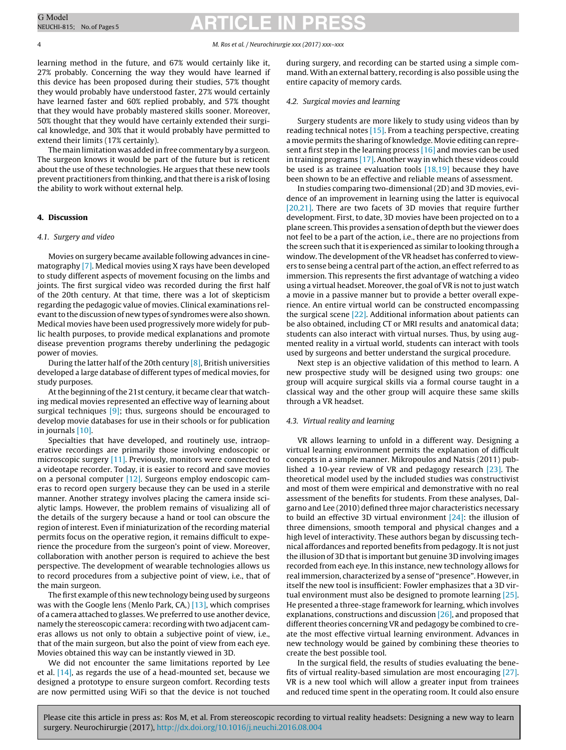4 M. Ros et al. / Neurochirurgie xxx (2017) xxx–xxx

learning method in the future, and 67% would certainly like it, 27% probably. Concerning the way they would have learned if this device has been proposed during their studies, 57% thought they would probably have understood faster, 27% would certainly have learned faster and 60% replied probably, and 57% thought that they would have probably mastered skills sooner. Moreover, 50% thought that they would have certainly extended their surgical knowledge, and 30% that it would probably have permitted to extend their limits (17% certainly).

The main limitation was added in free commentary by a surgeon. The surgeon knows it would be part of the future but is reticent about the use of these technologies. He argues that these new tools prevent practitioners from thinking, and that there is a risk of losing the ability to work without external help.

#### **4. Discussion**

#### 4.1. Surgery and video

Movies on surgery became available following advances in cinematography [\[7\].](#page-4-0) Medical movies using X rays have been developed to study different aspects of movement focusing on the limbs and joints. The first surgical video was recorded during the first half of the 20th century. At that time, there was a lot of skepticism regarding the pedagogic value of movies. Clinical examinations relevant to the discussion of new types of syndromes were also shown. Medical movies have been used progressively more widely for public health purposes, to provide medical explanations and promote disease prevention programs thereby underlining the pedagogic power of movies.

During the latter half of the 20th century [\[8\],](#page-4-0) British universities developed a large database of different types of medical movies, for study purposes.

At the beginning of the 21st century, it became clear that watching medical movies represented an effective way of learning about surgical techniques  $[9]$ ; thus, surgeons should be encouraged to develop movie databases for use in their schools or for publication in journals [\[10\].](#page-4-0)

Specialties that have developed, and routinely use, intraoperative recordings are primarily those involving endoscopic or microscopic surgery [\[11\].](#page-4-0) Previously, monitors were connected to a videotape recorder. Today, it is easier to record and save movies on a personal computer [\[12\].](#page-4-0) Surgeons employ endoscopic cameras to record open surgery because they can be used in a sterile manner. Another strategy involves placing the camera inside scialytic lamps. However, the problem remains of visualizing all of the details of the surgery because a hand or tool can obscure the region of interest. Even if miniaturization of the recording material permits focus on the operative region, it remains difficult to experience the procedure from the surgeon's point of view. Moreover, collaboration with another person is required to achieve the best perspective. The development of wearable technologies allows us to record procedures from a subjective point of view, i.e., that of the main surgeon.

The first example of this new technology being used by surgeons was with the Google lens (Menlo Park, CA,) [\[13\],](#page-4-0) which comprises of a camera attached to glasses. We preferred to use another device, namely the stereoscopic camera: recording with two adjacent cameras allows us not only to obtain a subjective point of view, i.e., that of the main surgeon, but also the point of view from each eye. Movies obtained this way can be instantly viewed in 3D.

We did not encounter the same limitations reported by Lee et al.  $[14]$ , as regards the use of a head-mounted set, because we designed a prototype to ensure surgeon comfort. Recording tests are now permitted using WiFi so that the device is not touched during surgery, and recording can be started using a simple command. With an external battery, recording is also possible using the entire capacity of memory cards.

#### 4.2. Surgical movies and learning

Surgery students are more likely to study using videos than by reading technical notes [\[15\].](#page-4-0) From a teaching perspective, creating a movie permits the sharing of knowledge. Movie editing can represent a first step in the learning process [\[16\]](#page-4-0) and movies can be used in training programs [\[17\].](#page-4-0) Another way in which these videos could be used is as trainee evaluation tools [\[18,19\]](#page-4-0) because they have been shown to be an effective and reliable means of assessment.

In studies comparing two-dimensional (2D) and 3D movies, evidence of an improvement in learning using the latter is equivocal [\[20,21\].](#page-4-0) There are two facets of 3D movies that require further development. First, to date, 3D movies have been projected on to a plane screen. This provides a sensation of depth but the viewer does not feel to be a part of the action, i.e., there are no projections from the screen such that it is experienced as similar to looking through a window. The development of the VR headset has conferred to viewers to sense being a central part of the action, an effect referred to as immersion. This represents the first advantage of watching a video using a virtual headset. Moreover, the goal of VR is not to just watch a movie in a passive manner but to provide a better overall experience. An entire virtual world can be constructed encompassing the surgical scene [\[22\].](#page-4-0) Additional information about patients can be also obtained, including CT or MRI results and anatomical data; students can also interact with virtual nurses. Thus, by using augmented reality in a virtual world, students can interact with tools used by surgeons and better understand the surgical procedure.

Next step is an objective validation of this method to learn. A new prospective study will be designed using two groups: one group will acquire surgical skills via a formal course taught in a classical way and the other group will acquire these same skills through a VR headset.

#### 4.3. Virtual reality and learning

VR allows learning to unfold in a different way. Designing a virtual learning environment permits the explanation of difficult concepts in a simple manner. Mikropoulos and Natsis (2011) published a 10-year review of VR and pedagogy research [\[23\].](#page-4-0) The theoretical model used by the included studies was constructivist and most of them were empirical and demonstrative with no real assessment of the benefits for students. From these analyses, Dalgarno and Lee (2010) defined three major characteristics necessary to build an effective 3D virtual environment [\[24\]:](#page-4-0) the illusion of three dimensions, smooth temporal and physical changes and a high level of interactivity. These authors began by discussing technical affordances and reported benefits from pedagogy. It is not just the illusion of 3D that is important but genuine 3D involving images recorded from each eye. In this instance, new technology allows for real immersion, characterized by a sense of "presence". However, in itself the new tool is insufficient: Fowler emphasizes that a 3D vir-tual environment must also be designed to promote learning [\[25\].](#page-4-0) He presented a three-stage framework for learning, which involves explanations, constructions and discussion [\[26\],](#page-4-0) and proposed that different theories concerning VR and pedagogy be combined to create the most effective virtual learning environment. Advances in new technology would be gained by combining these theories to create the best possible tool.

In the surgical field, the results of studies evaluating the benefits of virtual reality-based simulation are most encouraging [\[27\].](#page-4-0) VR is a new tool which will allow a greater input from trainees and reduced time spent in the operating room. It could also ensure